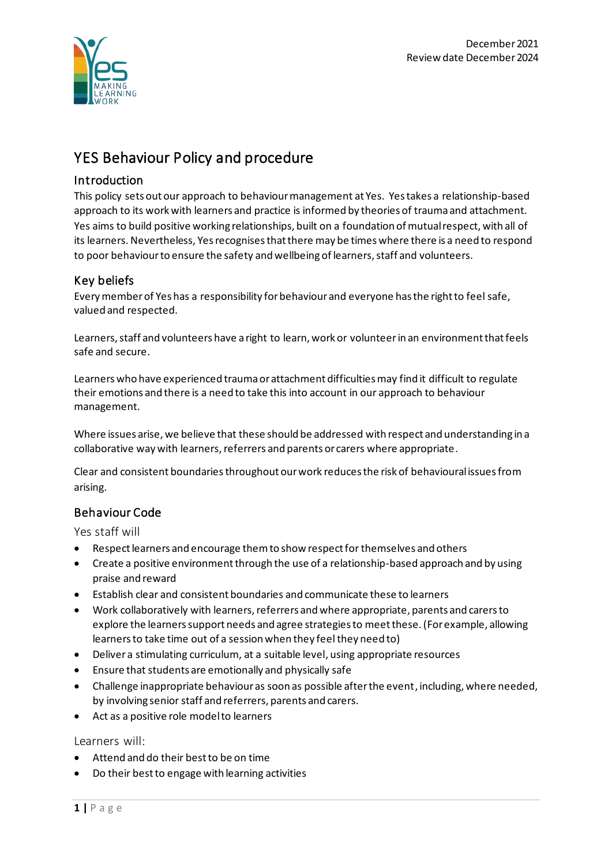

# YES Behaviour Policy and procedure

## Introduction

This policy sets out our approach to behaviour management at Yes. Yes takes a relationship-based approach to its work with learners and practice is informed by theories of trauma and attachment. Yes aims to build positive working relationships, built on a foundation of mutual respect, with all of its learners. Nevertheless, Yes recognises that there may be times where there is a need to respond to poor behaviour to ensure the safety and wellbeing of learners, staff and volunteers.

# Key beliefs

Every member of Yes has a responsibility for behaviour and everyone has the right to feel safe, valued and respected.

Learners, staff and volunteers have a right to learn, work or volunteer in an environment that feels safe and secure.

Learners who have experienced trauma or attachment difficulties may find it difficult to regulate their emotions and there is a need to take this into account in our approach to behaviour management.

Where issues arise, we believe that these should be addressed with respect and understanding in a collaborative way with learners, referrers and parents or carers where appropriate.

Clear and consistent boundaries throughout our work reduces the risk of behavioural issues from arising.

# Behaviour Code

Yes staff will

- Respect learners and encourage them to show respect for themselves and others
- Create a positive environment through the use of a relationship-based approach and by using praise and reward
- Establish clear and consistent boundaries and communicate these to learners
- Work collaboratively with learners, referrers and where appropriate, parents and carers to explore the learners support needs and agree strategies to meet these. (For example, allowing learners to take time out of a session when they feel they need to)
- Deliver a stimulating curriculum, at a suitable level, using appropriate resources
- Ensure that students are emotionally and physically safe
- Challenge inappropriate behaviour as soon as possible after the event, including, where needed, by involving senior staff and referrers, parents and carers.
- Act as a positive role model to learners

#### Learners will:

- Attend and do their best to be on time
- Do their best to engage with learning activities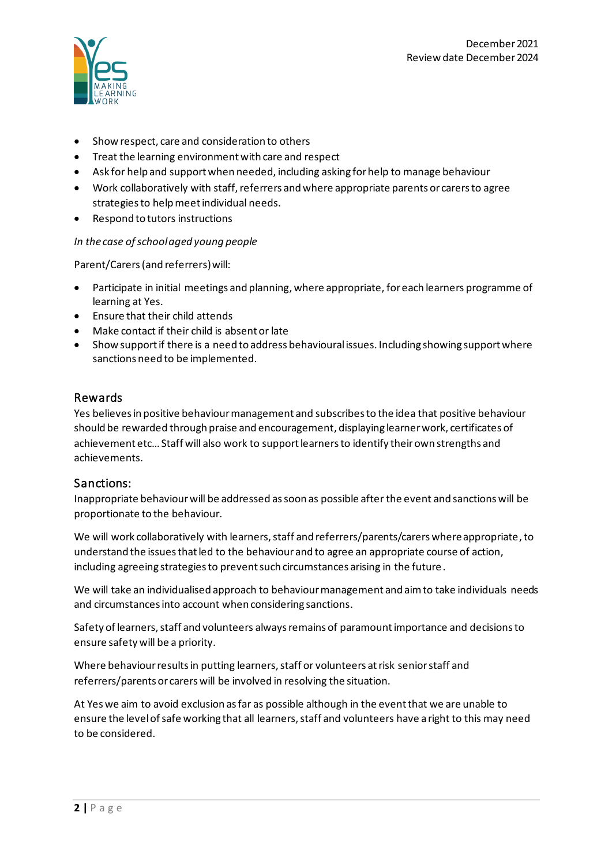

- Show respect, care and consideration to others
- Treat the learning environment with care and respect
- Ask for help and support when needed, including asking for help to manage behaviour
- Work collaboratively with staff, referrers and where appropriate parents or carers to agree strategies to help meet individual needs.
- Respond to tutors instructions

#### *In the case of school aged young people*

Parent/Carers (and referrers)will:

- Participate in initial meetings and planning, where appropriate, for each learners programme of learning at Yes.
- Ensure that their child attends
- Make contact if their child is absent or late
- Show support if there is a need to address behavioural issues. Including showing support where sanctions need to be implemented.

#### Rewards

Yes believes in positive behaviour management and subscribes to the idea that positive behaviour should be rewarded through praise and encouragement, displaying learner work, certificates of achievement etc…Staff will also work to support learners to identify their own strengths and achievements.

#### Sanctions:

Inappropriate behaviourwill be addressed as soon as possible after the event and sanctions will be proportionate to the behaviour.

We will work collaboratively with learners, staff and referrers/parents/carers where appropriate, to understand the issues that led to the behaviour and to agree an appropriate course of action, including agreeing strategies to prevent such circumstances arising in the future.

We will take an individualised approach to behaviour management and aim to take individuals needs and circumstances into account when considering sanctions.

Safety of learners, staff and volunteers always remains of paramount importance and decisions to ensure safety will be a priority.

Where behaviour results in putting learners, staff or volunteers at risk senior staff and referrers/parents or carers will be involved in resolving the situation.

At Yes we aim to avoid exclusion as far as possible although in the event that we are unable to ensure the level of safe working that all learners, staff and volunteers have a right to this may need to be considered.